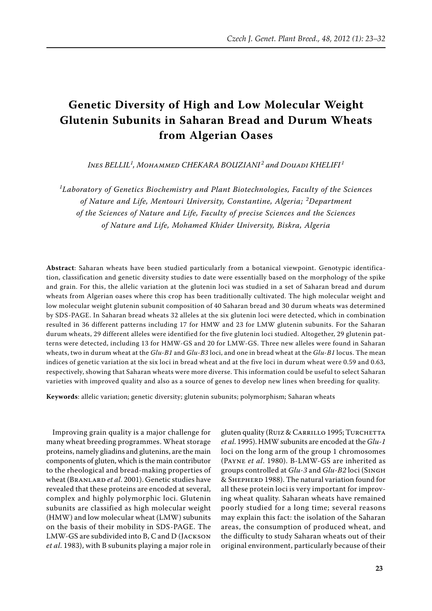# **Genetic Diversity of High and Low Molecular Weight Glutenin Subunits in Saharan Bread and Durum Wheats from Algerian Oases**

*Ines BELLIL1 , Mohammed CHEKARA BOUZIANI <sup>2</sup> and Douadi KHELIFI <sup>1</sup>*

*1 Laboratory of Genetics Biochemistry and Plant Biotechnologies, Faculty of the Sciences of Nature and Life, Mentouri University, Constantine, Algeria; <sup>2</sup> Department of the Sciences of Nature and Life, Faculty of precise Sciences and the Sciences of Nature and Life, Mohamed Khider University, Biskra, Algeria*

**Abstract**: Saharan wheats have been studied particularly from a botanical viewpoint. Genotypic identification, classification and genetic diversity studies to date were essentially based on the morphology of the spike and grain. For this, the allelic variation at the glutenin loci was studied in a set of Saharan bread and durum wheats from Algerian oases where this crop has been traditionally cultivated. The high molecular weight and low molecular weight glutenin subunit composition of 40 Saharan bread and 30 durum wheats was determined by SDS-PAGE. In Saharan bread wheats 32 alleles at the six glutenin loci were detected, which in combination resulted in 36 different patterns including 17 for HMW and 23 for LMW glutenin subunits. For the Saharan durum wheats, 29 different alleles were identified for the five glutenin loci studied. Altogether, 29 glutenin patterns were detected, including 13 for HMW-GS and 20 for LMW-GS. Three new alleles were found in Saharan wheats, two in durum wheat at the *Glu-B1* and *Glu-B3* loci, and one in bread wheat at the *Glu-B1* locus. The mean indices of genetic variation at the six loci in bread wheat and at the five loci in durum wheat were 0.59 and 0.63, respectively, showing that Saharan wheats were more diverse. This information could be useful to select Saharan varieties with improved quality and also as a source of genes to develop new lines when breeding for quality.

**Keywords**: allelic variation; genetic diversity; glutenin subunits; polymorphism; Saharan wheats

Improving grain quality is a major challenge for many wheat breeding programmes. Wheat storage proteins, namely gliadins and glutenins, are the main components of gluten, which is the main contributor to the rheological and bread-making properties of wheat (Branlard *et al*. 2001). Genetic studies have revealed that these proteins are encoded at several, complex and highly polymorphic loci. Glutenin subunits are classified as high molecular weight (HMW) and low molecular wheat (LMW) subunits on the basis of their mobility in SDS-PAGE. The LMW-GS are subdivided into B, C and D (Jackson *et al*. 1983), with B subunits playing a major role in

gluten quality (RUIZ & CARRILLO 1995; TURCHETTA *et al*. 1995). HMW subunits are encoded at the *Glu-1* loci on the long arm of the group 1 chromosomes (Payne *et al*. 1980). B-LMW-GS are inherited as groups controlled at *Glu-3* and *Glu-B2* loci (Singh & Shepherd 1988). The natural variation found for all these protein loci is very important for improving wheat quality. Saharan wheats have remained poorly studied for a long time; several reasons may explain this fact: the isolation of the Saharan areas, the consumption of produced wheat, and the difficulty to study Saharan wheats out of their original environment, particularly because of their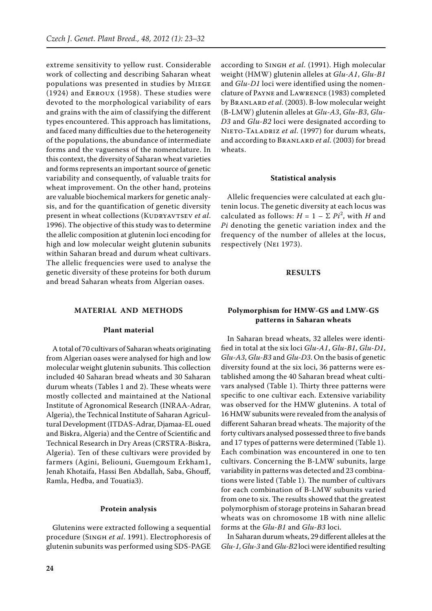extreme sensitivity to yellow rust. Considerable work of collecting and describing Saharan wheat populations was presented in studies by Miege (1924) and Erroux (1958). These studies were devoted to the morphological variability of ears and grains with the aim of classifying the different types encountered. This approach has limitations, and faced many difficulties due to the heterogeneity of the populations, the abundance of intermediate forms and the vagueness of the nomenclature. In this context, the diversity of Saharan wheat varieties and forms represents an important source of genetic variability and consequently, of valuable traits for wheat improvement. On the other hand, proteins are valuable biochemical markers for genetic analysis, and for the quantification of genetic diversity present in wheat collections (KUDRYAVTSEV *et al.* 1996). The objective of this study was to determine the allelic composition at glutenin loci encoding for high and low molecular weight glutenin subunits within Saharan bread and durum wheat cultivars. The allelic frequencies were used to analyse the genetic diversity of these proteins for both durum and bread Saharan wheats from Algerian oases.

## **MATERIAL AND METHODS**

### **Plant material**

A total of 70 cultivars of Saharan wheats originating from Algerian oases were analysed for high and low molecular weight glutenin subunits. This collection included 40 Saharan bread wheats and 30 Saharan durum wheats (Tables 1 and 2). These wheats were mostly collected and maintained at the National Institute of Agronomical Research (INRAA-Adrar, Algeria), the Technical Institute of Saharan Agricultural Development (ITDAS-Adrar, Djamaa-EL oued and Biskra, Algeria) and the Centre of Scientific and Technical Research in Dry Areas (CRSTRA-Biskra, Algeria). Ten of these cultivars were provided by farmers (Agini, Beliouni, Guemgoum Erkham1, Jenah Khotaifa, Hassi Ben Abdallah, Saba, Ghouff, Ramla, Hedba, and Touatia3).

#### **Protein analysis**

Glutenins were extracted following a sequential procedure (Singh *et al*. 1991). Electrophoresis of glutenin subunits was performed using SDS-PAGE

according to Singh *et al*. (1991). High molecular weight (HMW) glutenin alleles at *Glu-A1*, *Glu-B1* and *Glu-D1* loci were identified using the nomenclature of Payne and Lawrence (1983) completed by Branlard *et al*. (2003). B-low molecular weight (B-LMW) glutenin alleles at *Glu-A3*, *Glu-B3*, *Glu-D3* and *Glu-B2* loci were designated according to Nieto-Taladriz *et al*. (1997) for durum wheats, and according to Branlard *et al*. (2003) for bread wheats.

#### **Statistical analysis**

Allelic frequencies were calculated at each glutenin locus. The genetic diversity at each locus was calculated as follows:  $H = 1 - \sum P i^2$ , with *H* and *Pi* denoting the genetic variation index and the frequency of the number of alleles at the locus, respectively (Nei 1973).

## **RESULTS**

## **Polymorphism for HMW-GS and LMW-GS patterns in Saharan wheats**

In Saharan bread wheats, 32 alleles were identified in total at the six loci *Glu-A1*, *Glu-B1*, *Glu-D1*, *Glu-A3*, *Glu-B3* and *Glu-D3*. On the basis of genetic diversity found at the six loci, 36 patterns were established among the 40 Saharan bread wheat cultivars analysed (Table 1). Thirty three patterns were specific to one cultivar each. Extensive variability was observed for the HMW glutenins. A total of 16 HMW subunits were revealed from the analysis of different Saharan bread wheats. The majority of the forty cultivars analysed possessed three to five bands and 17 types of patterns were determined (Table 1). Each combination was encountered in one to ten cultivars. Concerning the B-LMW subunits, large variability in patterns was detected and 23 combinations were listed (Table 1). The number of cultivars for each combination of B-LMW subunits varied from one to six. The results showed that the greatest polymorphism of storage proteins in Saharan bread wheats was on chromosome 1B with nine allelic forms at the *Glu-B1* and *Glu-B3* loci.

In Saharan durum wheats, 29 different alleles at the *Glu-1*, *Glu-3* and *Glu-B2* loci were identified resulting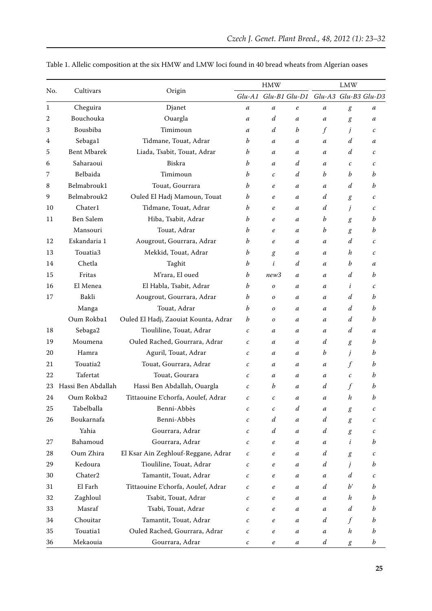| No.         | Cultivars          |                                      | <b>HMW</b>       |                  |                  | <b>LMW</b>                                |                  |              |
|-------------|--------------------|--------------------------------------|------------------|------------------|------------------|-------------------------------------------|------------------|--------------|
|             |                    | Origin                               |                  |                  |                  | Glu-A1 Glu-B1 Glu-D1 Glu-A3 Glu-B3 Glu-D3 |                  |              |
| $\mathbf 1$ | Cheguira           | Djanet                               | $\boldsymbol{a}$ | a                | $\boldsymbol{e}$ | a                                         | g                | а            |
| 2           | Bouchouka          | Ouargla                              | $\boldsymbol{a}$ | d                | a                | a                                         | g                | а            |
| 3           | Bousbiba           | Timimoun                             | $\boldsymbol{a}$ | d                | b                | $\int$                                    | j                | c            |
| 4           | Sebaga1            | Tidmane, Touat, Adrar                | b                | a                | a                | a                                         | d                | а            |
| 5           | <b>Bent Mbarek</b> | Liada, Tsabit, Touat, Adrar          | b                | а                | a                | a                                         | d                | c            |
| 6           | Saharaoui          | Biskra                               | b                | а                | d                | a                                         | $\mathcal{C}$    | c            |
| 7           | Belbaida           | Timimoun                             | b                | $\mathcal C$     | d                | b                                         | b                | b            |
| 8           | Belmabrouk1        | Touat, Gourrara                      | b                | e                | a                | $\mathfrak a$                             | d                | b            |
| 9           | Belmabrouk2        | Ouled El Hadj Mamoun, Touat          | b                | e                | a                | d                                         | g                | c            |
| 10          | Chater1            | Tidmane, Touat, Adrar                | b                | e                | a                | d                                         | j                | c            |
| 11          | Ben Salem          | Hiba, Tsabit, Adrar                  | b                | e                | a                | b                                         | g                | b            |
|             | Mansouri           | Touat, Adrar                         | b                | e                | a                | b                                         | g                | b            |
| 12          | Eskandaria 1       | Aougrout, Gourrara, Adrar            | b                | e                | a                | a                                         | d                | c            |
| 13          | Touatia3           | Mekkid, Touat, Adrar                 | b                | g                | a                | a                                         | h                | c            |
| 14          | Chetla             | Taghit                               | b                | i                | d                | a                                         | b                | a            |
| 15          | Fritas             | M'rara, El oued                      | b                | new3             | a                | a                                         | d                | b            |
| 16          | El Menea           | El Habla, Tsabit, Adrar              | b                | 0                | a                | a                                         | i                | $\mathcal C$ |
| 17          | Bakli              | Aougrout, Gourrara, Adrar            | b                | 0                | a                | a                                         | d                | b            |
|             | Manga              | Touat, Adrar                         | b                | 0                | a                | a                                         | d                | b            |
|             | Oum Rokba1         | Ouled El Hadj, Zaouiat Kounta, Adrar | b                | 0                | a                | a                                         | d                | b            |
| 18          | Sebaga2            | Tiouliline, Touat, Adrar             | $\boldsymbol{c}$ | а                | a                | a                                         | d                | a            |
| 19          | Moumena            | Ouled Rached, Gourrara, Adrar        | $\boldsymbol{c}$ | а                | a                | d                                         | $\boldsymbol{g}$ | b            |
| 20          | Hamra              | Aguril, Touat, Adrar                 | $\mathcal C$     | а                | a                | b                                         | j                | b            |
| 21          | Touatia2           | Touat, Gourrara, Adrar               | $\mathcal{C}$    | а                | a                | $\mathfrak a$                             | $\int$           | b            |
| 22          | Tafertat           | Touat, Gourara                       | $\boldsymbol{c}$ | а                | a                | $\boldsymbol{a}$                          | $\boldsymbol{c}$ | b            |
| 23          | Hassi Ben Abdallah | Hassi Ben Abdallah, Ouargla          | $\mathcal C$     | b                | a                | d                                         | f                | b            |
| 24          | Oum Rokba2         | Tittaouine E'chorfa, Aoulef, Adrar   | $\mathcal C$     | $\mathcal C$     | a                | a                                         | h                | b            |
| 25          | Tabelballa         | Benni-Abbès                          | $\boldsymbol{c}$ | $\mathcal C$     | $\boldsymbol{d}$ | a                                         | g                | $\mathcal C$ |
| 26          | Boukarnafa         | Benni-Abbès                          | $\boldsymbol{c}$ | d                | a                | d                                         | g                | $\cal C$     |
|             | Yahia              | Gourrara, Adrar                      | $\boldsymbol{c}$ | $\boldsymbol{d}$ | $\boldsymbol{a}$ | $\boldsymbol{d}$                          | g                | с            |
| 27          | Bahamoud           | Gourrara, Adrar                      | $\boldsymbol{c}$ | $\it e$          | $\boldsymbol{a}$ | a                                         | i                | b            |
| 28          | Oum Zhira          | El Ksar Ain Zeghlouf-Reggane, Adrar  | $\mathcal C$     | $\boldsymbol{e}$ | $\boldsymbol{a}$ | d                                         | g                | C            |
| 29          | Kedoura            | Tiouliline, Touat, Adrar             | $\boldsymbol{c}$ | $\boldsymbol{e}$ | a                | $\boldsymbol{d}$                          | j                | b            |
| 30          | Chater2            | Tamantit, Touat, Adrar               | $\boldsymbol{c}$ | $\boldsymbol{e}$ | a                | a                                         | d                | с            |
| 31          | El Farh            | Tittaouine E'chorfa, Aoulef, Adrar   | $\boldsymbol{c}$ | $\boldsymbol{e}$ | a                | d                                         | $b^{\prime}$     | b            |
| 32          | Zaghloul           | Tsabit, Touat, Adrar                 | $\boldsymbol{c}$ | $\boldsymbol{e}$ | a                | a                                         | h                | b            |
| 33          | Masraf             | Tsabi, Touat, Adrar                  | $\boldsymbol{c}$ | $\boldsymbol{e}$ | $\boldsymbol{a}$ | a                                         | $\boldsymbol{d}$ | b            |
| 34          | Chouitar           | Tamantit, Touat, Adrar               | $\boldsymbol{c}$ | $\it e$          | a                | d                                         | $\int f$         | b            |
| 35          | Touatia1           | Ouled Rached, Gourrara, Adrar        | $\boldsymbol{c}$ | $\it e$          | $\boldsymbol{a}$ | a                                         | $\boldsymbol{h}$ | b            |
| 36          | Mekaouia           | Gourrara, Adrar                      | $\boldsymbol{c}$ | $\it e$          | a                | $\boldsymbol{d}$                          | $\boldsymbol{g}$ | b            |

Table 1. Allelic composition at the six HMW and LMW loci found in 40 bread wheats from Algerian oases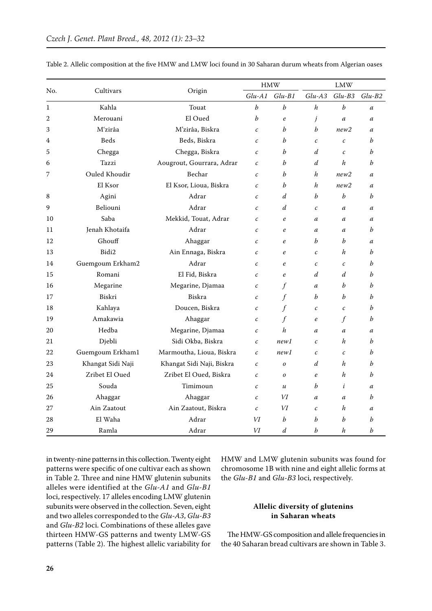|                  |                   |                           |                   | <b>HMW</b>       | <b>LMW</b>        |                   |                  |  |
|------------------|-------------------|---------------------------|-------------------|------------------|-------------------|-------------------|------------------|--|
| No.              | Cultivars         | Origin                    | $Glu-A1$          | $Glu-B1$         | $Glu-AS$          | $Glu-B3$          | $Glu-B2$         |  |
| $\mathbf{1}$     | Kahla             | Touat                     | $\boldsymbol{b}$  | $\boldsymbol{b}$ | $\boldsymbol{h}$  | b                 | $\mathfrak a$    |  |
| $\boldsymbol{2}$ | Merouani          | El Oued                   | b                 | $\boldsymbol{e}$ | j                 | a                 | a                |  |
| 3                | M'zirâa           | M'zirâa, Biskra           | $\mathcal{C}$     | h                | h                 | new2              | a                |  |
| 4                | <b>Beds</b>       | Beds, Biskra              | $\mathcal{C}$     | b                | $\mathcal{C}_{0}$ | $\mathcal{C}_{0}$ | b                |  |
| 5                | Chegga            | Chegga, Biskra            | $\mathcal{C}$     | b                | d                 | $\mathcal{C}_{0}$ | b                |  |
| 6                | Tazzi             | Aougrout, Gourrara, Adrar | $\mathcal C$      | b                | $\overline{d}$    | h                 | $\boldsymbol{b}$ |  |
| 7                | Ouled Khoudir     | Bechar                    | $\mathcal{C}$     | b                | h                 | new2              | a                |  |
|                  | El Ksor           | El Ksor, Lioua, Biskra    | $\mathcal C$      | b                | $\boldsymbol{h}$  | new2              | $\boldsymbol{a}$ |  |
| 8                | Agini             | Adrar                     | $\mathcal C$      | $\boldsymbol{d}$ | h                 | b                 | $\boldsymbol{b}$ |  |
| 9                | Beliouni          | Adrar                     | $\mathcal{C}_{0}$ | $\boldsymbol{d}$ | $\mathcal{C}_{0}$ | $\boldsymbol{a}$  | $\mathfrak a$    |  |
| 10               | Saba              | Mekkid, Touat, Adrar      | $\mathcal{C}$     | $\boldsymbol{e}$ | $\mathfrak a$     | $\boldsymbol{a}$  | $\mathfrak a$    |  |
| 11               | Jenah Khotaifa    | Adrar                     | $\mathcal{C}$     | $\boldsymbol{e}$ | a                 | a                 | $\boldsymbol{b}$ |  |
| 12               | Ghouff            | Ahaggar                   | $\mathcal C$      | $\boldsymbol{e}$ | b                 | $\boldsymbol{b}$  | a                |  |
| 13               | Bidi2             | Ain Ennaga, Biskra        | $\mathcal{C}$     | $\boldsymbol{e}$ | $\mathcal{C}_{0}$ | h                 | b                |  |
| 14               | Guemgoum Erkham2  | Adrar                     | $\mathcal{C}$     | $\boldsymbol{e}$ | $\mathcal{C}_{0}$ | $\mathcal{C}_{0}$ | b                |  |
| 15               | Romani            | El Fid, Biskra            | $\mathcal{C}$     | $\boldsymbol{e}$ | $\overline{d}$    | d                 | $\boldsymbol{b}$ |  |
| 16               | Megarine          | Megarine, Djamaa          | $\mathcal C$      | f                | $\boldsymbol{a}$  | h                 | $\boldsymbol{b}$ |  |
| 17               | Biskri            | Biskra                    | $\mathcal C$      | $\int$           | b                 | b                 | b                |  |
| 18               | Kahlaya           | Doucen, Biskra            | $\mathcal C$      | $\int$           | $\mathcal{C}_{0}$ | $\mathcal{C}_{0}$ | b                |  |
| 19               | Amakawia          | Ahaggar                   | $\mathcal C$      | f                | $\boldsymbol{e}$  | $\int$            | b                |  |
| 20               | Hedba             | Megarine, Djamaa          | $\mathcal C$      | h                | $\mathfrak a$     | $\boldsymbol{a}$  | $\boldsymbol{a}$ |  |
| 21               | Djebli            | Sidi Okba, Biskra         | $\mathcal{C}_{0}$ | new1             | $\mathcal{C}_{0}$ | h                 | $\boldsymbol{b}$ |  |
| 22               | Guemgoum Erkham1  | Marmoutha, Lioua, Biskra  | $\mathcal{C}_{0}$ | new1             | $\mathcal{C}_{0}$ | $\mathcal{C}_{0}$ | b                |  |
| 23               | Khangat Sidi Naji | Khangat Sidi Naji, Biskra | $\mathcal{C}_{0}$ | $\boldsymbol{o}$ | $\boldsymbol{d}$  | h                 | b                |  |
| 24               | Zribet El Oued    | Zribet El Oued, Biskra    | $\mathcal{C}$     | $\boldsymbol{o}$ | e                 | h                 | h                |  |
| 25               | Souda             | Timimoun                  | $\mathcal C$      | $\boldsymbol{u}$ | h                 | i                 | $\mathfrak a$    |  |
| 26               | Ahaggar           | Ahaggar                   | $\mathcal{C}_{0}$ | VI               | $\mathfrak a$     | $\mathfrak a$     | b                |  |
| 27               | Ain Zaatout       | Ain Zaatout, Biskra       | $\mathcal C$      | VI               | $\mathcal{C}_{0}$ | h                 | a                |  |
| 28               | El Waha           | Adrar                     | VI                | b                | b                 | b                 | b                |  |
| 29               | Ramla             | Adrar                     | VI                | $\boldsymbol{d}$ | b                 | h                 | b                |  |

Table 2. Allelic composition at the five HMW and LMW loci found in 30 Saharan durum wheats from Algerian oases

in twenty-nine patterns in this collection. Twenty eight patterns were specific of one cultivar each as shown in Table 2. Three and nine HMW glutenin subunits alleles were identified at the *Glu-A1* and *Glu-B1* loci, respectively. 17 alleles encoding LMW glutenin subunits were observed in the collection. Seven, eight and two alleles corresponded to the *Glu-A3*, *Glu-B3* and *Glu-B2* loci. Combinations of these alleles gave thirteen HMW-GS patterns and twenty LMW-GS patterns (Table 2). The highest allelic variability for HMW and LMW glutenin subunits was found for chromosome 1B with nine and eight allelic forms at the *Glu-B1* and *Glu-B3* loci, respectively.

## **Allelic diversity of glutenins in Saharan wheats**

The HMW-GS composition and allele frequencies in the 40 Saharan bread cultivars are shown in Table 3.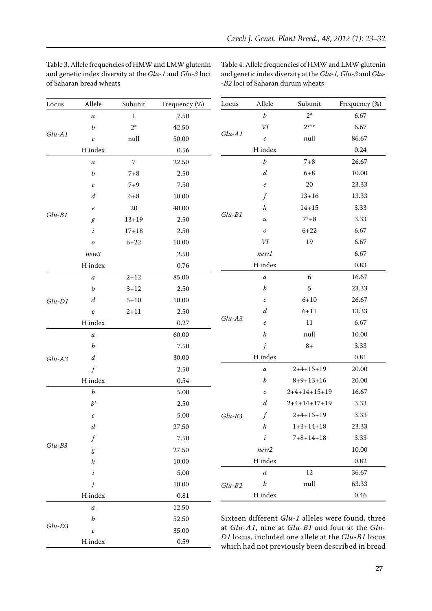| Locus    | Allele           | Subunit        | Frequency (%) | Locus                                             | Allele                     | Subunit                                           | Frequency (%) |  |
|----------|------------------|----------------|---------------|---------------------------------------------------|----------------------------|---------------------------------------------------|---------------|--|
|          | $\boldsymbol{a}$ | $\mathbf{1}$   | $7.50\,$      |                                                   | $\boldsymbol{b}$           | $2^*$                                             | 6.67          |  |
|          | $\boldsymbol{b}$ | $2*$           | 42.50         |                                                   | $\it VI$                   | $2***$                                            | 6.67          |  |
| $Glu-A1$ | $\boldsymbol{c}$ | null           | 50.00         | $Glu-A1$                                          | $\boldsymbol{c}$           | null                                              | 86.67         |  |
|          | H index          |                | $0.56\,$      |                                                   | H index                    |                                                   | 0.24          |  |
|          | $\boldsymbol{a}$ | $\overline{7}$ | 22.50         |                                                   | $\boldsymbol{b}$           | $7 + 8$                                           | 26.67         |  |
|          | $\boldsymbol{b}$ | $7 + 8$        | $2.50\,$      |                                                   | $\boldsymbol{d}$           | $6 + 8$                                           | 10.00         |  |
|          | $\cal C$         | $7 + 9$        | 7.50          |                                                   | $\boldsymbol{e}$           | $20\,$                                            | 23.33         |  |
|          | $\boldsymbol{d}$ | $6 + 8$        | 10.00         |                                                   | $\int f$                   | $13 + 16$                                         | 13.33         |  |
|          | $\boldsymbol{e}$ | 20             | 40.00         |                                                   | $\boldsymbol{h}$           | $14 + 15$                                         | 3.33          |  |
| $Glu-B1$ | $\boldsymbol{g}$ | $13 + 19$      | 2.50          | $Glu-B1$                                          | $\boldsymbol{\mathcal{U}}$ | $7* + 8$                                          | 3.33          |  |
|          | $\dot{i}$        | $17 + 18$      | $2.50\,$      |                                                   | $\boldsymbol{o}$           | $6 + 22$                                          | 6.67          |  |
|          | $\boldsymbol{o}$ | $6 + 22$       | 10.00         |                                                   | $\it VI$                   | 19                                                | 6.67          |  |
|          | new3             |                | 2.50          |                                                   | new1                       |                                                   | 6.67          |  |
|          | H index          |                | 0.76          |                                                   | H index                    |                                                   | 0.83          |  |
|          | $\boldsymbol{a}$ | $2 + 12$       | 85.00         |                                                   | $\boldsymbol{a}$           | $\boldsymbol{6}$                                  | 16.67         |  |
|          | $\boldsymbol{b}$ | $3 + 12$       | 2.50          |                                                   | $\boldsymbol{b}$           | 5                                                 | 23.33         |  |
| $Glu-D1$ | $\boldsymbol{d}$ | $5 + 10$       | 10.00         |                                                   | $\mathcal C$               | $6 + 10$                                          | 26.67         |  |
|          | $\boldsymbol{e}$ | $2 + 11$       | 2.50          |                                                   | $\boldsymbol{d}$           | $6 + 11$                                          | 13.33         |  |
|          | H index          |                | 0.27          | $Glu-A3$                                          | $\boldsymbol{e}$           | $11\,$                                            | 6.67          |  |
|          | $\boldsymbol{a}$ |                | 60.00         |                                                   | $\boldsymbol{h}$           | null                                              | 10.00         |  |
|          | $\boldsymbol{b}$ |                | 7.50          |                                                   | j                          | $8+$                                              | 3.33          |  |
| $Glu-AS$ | $\boldsymbol{d}$ |                | 30.00         |                                                   | H index                    |                                                   | $\rm 0.81$    |  |
|          | $\int$           |                | $2.50\,$      |                                                   | $\boldsymbol{a}$           | $2+4+15+19$                                       | 20.00         |  |
|          | H index          |                | 0.54          |                                                   | b                          | $8 + 9 + 13 + 16$                                 | 20.00         |  |
|          | $\boldsymbol{b}$ |                | $5.00\,$      |                                                   | $\mathcal C$               | $2+4+14+15+19$                                    | 16.67         |  |
|          | $b^{\prime}$     |                | $2.50\,$      |                                                   | $\boldsymbol{d}$           | $2+4+14+17+19$                                    | 3.33          |  |
|          | $\mathcal C$     |                | 5.00          | $Glu-B3$                                          |                            | $2+4+15+19$                                       | 3.33          |  |
|          | $\boldsymbol{d}$ |                | 27.50         |                                                   | $\boldsymbol{h}$           | $1+3+14+18$                                       | 23.33         |  |
|          | f                |                | 7.50          |                                                   | i                          | $7 + 8 + 14 + 18$                                 | 3.33          |  |
| $Glu-B3$ | g                |                | 27.50         |                                                   | new2                       |                                                   | 10.00         |  |
|          | h                |                | 10.00         |                                                   | H index                    |                                                   | 0.82          |  |
|          | i                |                | 5.00          |                                                   | $\boldsymbol{a}$           | 12                                                | 36.67         |  |
|          | j                |                | 10.00         | $Glu-B2$                                          | $\boldsymbol{b}$           | null                                              | 63.33         |  |
|          | H index          |                | $\rm 0.81$    |                                                   | H index                    |                                                   | 0.46          |  |
|          | $\boldsymbol{a}$ |                | 12.50         |                                                   |                            |                                                   |               |  |
|          | b                |                | 52.50         | Sixteen different Glu-1 alleles were found, three |                            |                                                   |               |  |
| $Glu-D3$ | $\mathcal C$     |                | 35.00         | at Glu-A1, nine at Glu-B1 and four at the Glu-    |                            |                                                   |               |  |
|          | H index          |                | 0.59          |                                                   |                            | D1 locus, included one allele at the Glu-B1 locus |               |  |

Table 3. Allele frequencies of HMW and LMW glutenin and genetic index diversity at the *Glu-1* and *Glu-3* loci of Saharan bread wheats

Table 4. Allele frequencies of HMW and LMW glutenin and genetic index diversity at the *Glu-1, Glu-3* and *Glu- -B2* loci of Saharan durum wheats

which had not previously been described in bread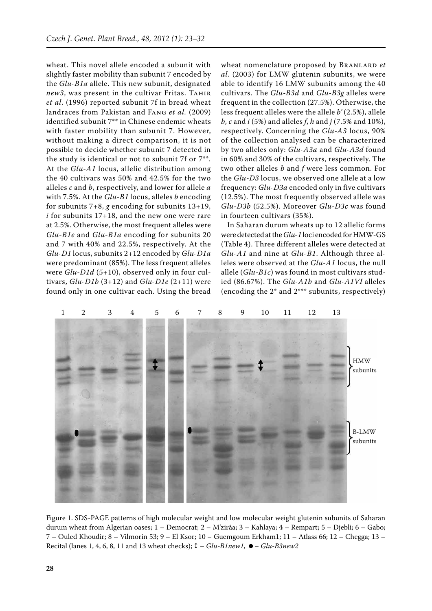wheat. This novel allele encoded a subunit with slightly faster mobility than subunit 7 encoded by the *Glu-B1a* allele. This new subunit, designated *new3*, was present in the cultivar Fritas. TAHIR *et al*. (1996) reported subunit 7f in bread wheat landraces from Pakistan and Fang *et al.* (2009) identified subunit 7\*\* in Chinese endemic wheats with faster mobility than subunit 7. However, without making a direct comparison, it is not possible to decide whether subunit 7 detected in the study is identical or not to subunit 7f or 7\*\*. At the *Glu-A1* locus, allelic distribution among the 40 cultivars was 50% and 42.5% for the two alleles *c* and *b*, respectively, and lower for allele *a*  with 7.5%. At the *Glu-B1* locus, alleles *b* encoding for subunits 7+8, *g* encoding for subunits 13+19, *i* for subunits 17+18, and the new one were rare at 2.5%. Otherwise, the most frequent alleles were *Glu-B1e* and *Glu-B1a* encoding for subunits 20 and 7 with 40% and 22.5%, respectively. At the *Glu-D1* locus, subunits 2+12 encoded by *Glu-D1a* were predominant (85%). The less frequent alleles were *Glu-D1d* (5+10), observed only in four cultivars, *Glu-D1b* (3+12) and *Glu-D1e* (2+11) were found only in one cultivar each. Using the bread

wheat nomenclature proposed by BRANLARD *et al*. (2003) for LMW glutenin subunits, we were able to identify 16 LMW subunits among the 40 cultivars. The *Glu-B3d* and *Glu-B3g* alleles were frequent in the collection (27.5%). Otherwise, the less frequent alleles were the allele *b'* (2.5%), allele *b*, *c* and *i* (5%) and alleles *f*, *h* and *j* (7.5% and 10%), respectively. Concerning the *Glu-A3* locus, 90% of the collection analysed can be characterized by two alleles only: *Glu-A3a* and *Glu-A3d* found in 60% and 30% of the cultivars, respectively. The two other alleles *b* and *f* were less common. For the *Glu-D3* locus, we observed one allele at a low frequency: *Glu-D3a* encoded only in five cultivars (12.5%). The most frequently observed allele was *Glu-D3b* (52.5%). Moreover *Glu-D3c* was found in fourteen cultivars (35%).

In Saharan durum wheats up to 12 allelic forms were detected at the *Glu-1* loci encoded for HMW-GS (Table 4). Three different alleles were detected at *Glu-A1* and nine at *Glu-B1*. Although three alleles were observed at the *Glu-A1* locus, the null allele (*Glu-B1c*) was found in most cultivars studied (86.67%). The *Glu-A1b* and *Glu-A1VI* alleles (encoding the 2\* and 2\*\*\* subunits, respectively)



Figure 1. SDS-PAGE patterns of high molecular weight and low molecular weight glutenin subunits of Saharan durum wheat from Algerian oases; 1 – Democrat; 2 – M'zirâa; 3 – Kahlaya; 4 – Rempart; 5 – Djebli; 6 – Gabo; 7 – Ouled Khoudir; 8 – Vilmorin 53; 9 – El Ksor; 10 – Guemgoum Erkham1; 11 – Atlass 66; 12 – Chegga; 13 – Recital (lanes 1, 4, 6, 8, 11 and 13 wheat checks); – *Glu-B1new1,* – *Glu-B3new2*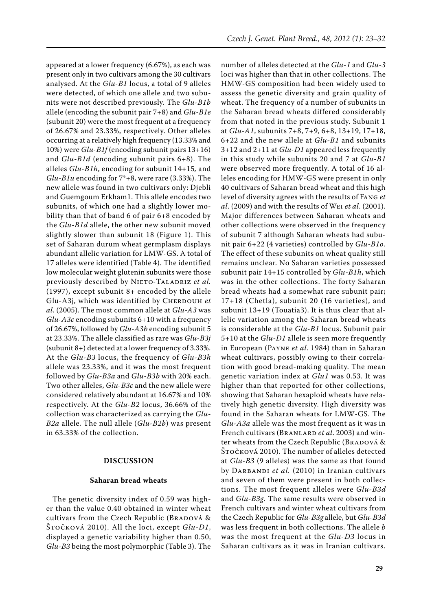appeared at a lower frequency (6.67%), as each was present only in two cultivars among the 30 cultivars analysed. At the *Glu-B1* locus, a total of 9 alleles were detected, of which one allele and two subunits were not described previously. The *Glu-B1b*  allele (encoding the subunit pair 7+8) and *Glu-B1e*  (subunit 20) were the most frequent at a frequency of 26.67% and 23.33%, respectively. Other alleles occurring at a relatively high frequency (13.33% and 10%) were *Glu-B1f* (encoding subunit pairs 13+16) and *Glu-B1d* (encoding subunit pairs 6+8). The alleles *Glu-B1h*, encoding for subunit 14+15*,* and *Glu-B1u* encoding for 7\*+8, were rare (3.33%). The new allele was found in two cultivars only: Djebli and Guemgoum Erkham1. This allele encodes two subunits, of which one had a slightly lower mobility than that of band 6 of pair 6+8 encoded by the *Glu-B1d* allele, the other new subunit moved slightly slower than subunit 18 (Figure 1). This set of Saharan durum wheat germplasm displays abundant allelic variation for LMW-GS. A total of 17 alleles were identified (Table 4). The identified low molecular weight glutenin subunits were those previously described by NIETO-TALADRIZ et al. (1997), except subunit 8+ encoded by the allele Glu-A3j, which was identified by CHERDOUH et *al.* (2005). The most common allele at *Glu-A3* was *Glu-A3c* encoding subunits 6+10 with a frequency of 26.67%, followed by *Glu-A3b* encoding subunit 5 at 23.33%. The allele classified as rare was *Glu-B3j* (subunit 8+) detected at a lower frequency of 3.33%. At the *Glu-B3* locus, the frequency of *Glu-B3h* allele was 23.33%, and it was the most frequent followed by *Glu-B3a* and *Glu-B3b* with 20% each. Two other alleles, *Glu-B3c* and the new allele were considered relatively abundant at 16.67% and 10% respectively. At the *Glu-B2* locus, 36.66% of the collection was characterized as carrying the *Glu-B2a* allele. The null allele (*Glu-B2b*) was present in 63.33% of the collection.

## **DISCUSSION**

## **Saharan bread wheats**

The genetic diversity index of 0.59 was higher than the value 0.40 obtained in winter wheat cultivars from the Czech Republic (BRADOVÁ & Štočková 2010). All the loci, except *Glu-D1*, displayed a genetic variability higher than 0.50, *Glu-B3* being the most polymorphic (Table 3). The

number of alleles detected at the *Glu-1* and *Glu-3* loci was higher than that in other collections. The HMW-GS composition had been widely used to assess the genetic diversity and grain quality of wheat. The frequency of a number of subunits in the Saharan bread wheats differed considerably from that noted in the previous study. Subunit 1 at *Glu-A1*, subunits 7+8, 7+9, 6+8, 13+19, 17+18, 6+22 and the new allele at *Glu-B1* and subunits 3+12 and 2+11 at *Glu-D1* appeared less frequently in this study while subunits 20 and 7 at *Glu-B1* were observed more frequently. A total of 16 alleles encoding for HMW-GS were present in only 40 cultivars of Saharan bread wheat and this high level of diversity agrees with the results of Fang *et al*. (2009) and with the results of Wei *et al*. (2001). Major differences between Saharan wheats and other collections were observed in the frequency of subunit 7 although Saharan wheats had subunit pair 6+22 (4 varieties) controlled by *Glu-B1o*. The effect of these subunits on wheat quality still remains unclear. No Saharan varieties possessed subunit pair 14+15 controlled by *Glu-B1h*, which was in the other collections. The forty Saharan bread wheats had a somewhat rare subunit pair; 17+18 (Chetla), subunit 20 (16 varieties), and subunit 13+19 (Touatia3). It is thus clear that allelic variation among the Saharan bread wheats is considerable at the *Glu-B1* locus. Subunit pair 5+10 at the *Glu-D1* allele is seen more frequently in European (Payne *et al*. 1984) than in Saharan wheat cultivars, possibly owing to their correlation with good bread-making quality. The mean genetic variation index at *Glu1* was 0.53. It was higher than that reported for other collections, showing that Saharan hexaploid wheats have relatively high genetic diversity. High diversity was found in the Saharan wheats for LMW-GS. The *Glu-A3a* allele was the most frequent as it was in French cultivars (Branlard *et al*. 2003) and winter wheats from the Czech Republic (BRADOVÁ & Štočková 2010). The number of alleles detected at *Glu-B3* (9 alleles) was the same as that found by DARBANDI et al. (2010) in Iranian cultivars and seven of them were present in both collections. The most frequent alleles were *Glu-B3d*  and *Glu-B3g*. The same results were observed in French cultivars and winter wheat cultivars from the Czech Republic for *Glu-B3g* allele, but *Glu-B3d*  was less frequent in both collections. The allele *b* was the most frequent at the *Glu-D3* locus in Saharan cultivars as it was in Iranian cultivars.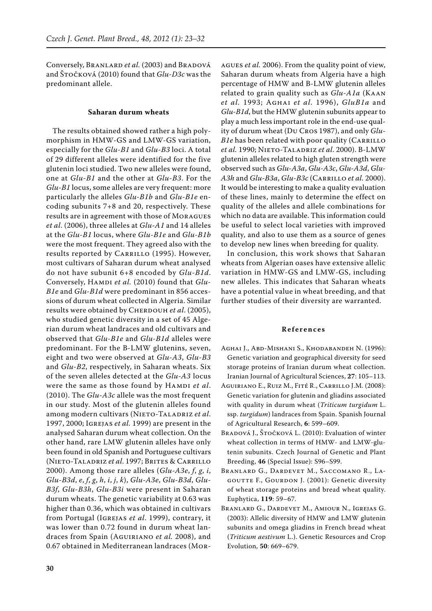Conversely, BRANLARD et al. (2003) and BRADOVÁ and Štočková (2010) found that *Glu-D3c* was the predominant allele.

### **Saharan durum wheats**

The results obtained showed rather a high polymorphism in HMW-GS and LMW-GS variation, especially for the *Glu-B1* and *Glu-B3* loci. A total of 29 different alleles were identified for the five glutenin loci studied. Two new alleles were found, one at *Glu-B1* and the other at *Glu-B3*. For the *Glu-B1* locus, some alleles are very frequent: more particularly the alleles *Glu-B1b* and *Glu-B1e* encoding subunits 7+8 and 20, respectively. These results are in agreement with those of Moragues *et al*. (2006), three alleles at *Glu-A1* and 14 alleles at the *Glu-B1* locus, where *Glu-B1e* and *Glu-B1b*  were the most frequent. They agreed also with the results reported by CARRILLO (1995). However, most cultivars of Saharan durum wheat analysed do not have subunit 6+8 encoded by *Glu-B1d*. Conversely, HAMDI et al. (2010) found that *Glu-B1e* and *Glu-B1d* were predominant in 856 accessions of durum wheat collected in Algeria. Similar results were obtained by CHERDOUH et al. (2005), who studied genetic diversity in a set of 45 Algerian durum wheat landraces and old cultivars and observed that *Glu-B1e* and *Glu-B1d* alleles were predominant. For the B-LMW glutenins, seven, eight and two were observed at *Glu-A3*, *Glu-B3* and *Glu-B2*, respectively, in Saharan wheats. Six of the seven alleles detected at the *Glu-A3* locus were the same as those found by HAMDI et al. (2010). The *Glu-A3c* allele was the most frequent in our study. Most of the glutenin alleles found among modern cultivars (NIETO-TALADRIZ et al. 1997, 2000; Igrejas *et al.* 1999) are present in the analysed Saharan durum wheat collection. On the other hand, rare LMW glutenin alleles have only been found in old Spanish and Portuguese cultivars (Nieto-Taladriz *et al*. 1997; Brites & Carrillo 2000). Among those rare alleles (*Glu-A3e*, *f*, *g*, *i*, *Glu-B3d*, *e*, *f*, *g*, *h*, *i*, *j*, *k*), *Glu-A3e*, *Glu-B3d*, *Glu-B3f*, *Glu-B3h*, *Glu-B3i* were present in Saharan durum wheats. The genetic variability at 0.63 was higher than 0.36, which was obtained in cultivars from Portugal (Igrejas *et al*. 1999), contrary, it was lower than 0.72 found in durum wheat landraces from Spain (Aguiriano *et al.* 2008), and 0.67 obtained in Mediterranean landraces (Mor-

agues *et al.* 2006). From the quality point of view, Saharan durum wheats from Algeria have a high percentage of HMW and B-LMW glutenin alleles related to grain quality such as *Glu-A1a* (Kaan *et al.* 1993; Aghai *et al.* 1996), *GluB1a* and *Glu-B1d*, but the HMW glutenin subunits appear to play a much less important role in the end-use quality of durum wheat (Du Cros 1987), and only *Glu-B1e* has been related with poor quality (CARRILLO *et al.* 1990; Nieto-Taladriz *et al*. 2000). B-LMW glutenin alleles related to high gluten strength were observed such as *Glu-A3a*, *Glu-A3c*, *Glu-A3d*, *Glu-A3h* and *Glu-B3a*, *Glu-B3c* (Carrillo *et al.* 2000). It would be interesting to make a quality evaluation of these lines, mainly to determine the effect on quality of the alleles and allele combinations for which no data are available. This information could be useful to select local varieties with improved quality, and also to use them as a source of genes to develop new lines when breeding for quality.

In conclusion, this work shows that Saharan wheats from Algerian oases have extensive allelic variation in HMW-GS and LMW-GS, including new alleles. This indicates that Saharan wheats have a potential value in wheat breeding, and that further studies of their diversity are warranted.

#### **References**

- Aghai J., Abd-Mishani S., Khodabandeh N. (1996): Genetic variation and geographical diversity for seed storage proteins of Iranian durum wheat collection. Iranian Journal of Agricultural Sciences, **27**: 105–113.
- Aguiriano E., Ruiz M., Fité R., Carrillo J.M. (2008): Genetic variation for glutenin and gliadins associated with quality in durum wheat (*Triticum turgidum* L. ssp. *turgidum*) landraces from Spain. Spanish Journal of Agricultural Research, **6**: 599–609.
- BRADOVÁ J., ŠTOČKOVÁ L. (2010): Evaluation of winter wheat collection in terms of HMW- and LMW-glutenin subunits. Czech Journal of Genetic and Plant Breeding, **46** (Special Issue): S96–S99.
- Branlard G., Dardevet M., Saccomano R., La-GOUTTE F., GOURDON J. (2001): Genetic diversity of wheat storage proteins and bread wheat quality. Euphytica, **119**: 59–67.
- Branlard G., Dardevet M., Amiour N., Igrejas G. (2003): Allelic diversity of HMW and LMW glutenin subunits and omega gliadins in French bread wheat (*Triticum aestivum* L.). Genetic Resources and Crop Evolution, **50**: 669–679.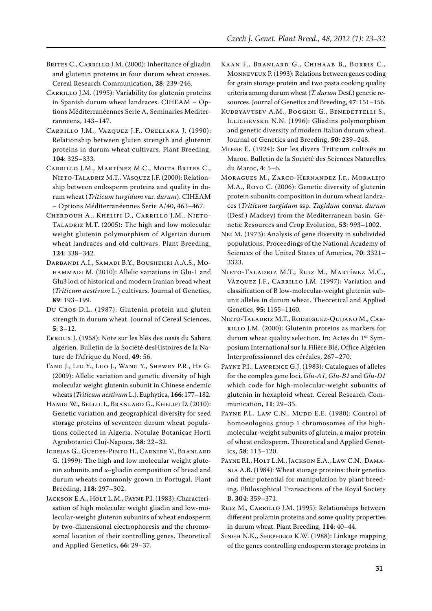- BRITES C., CARRILLO J.M. (2000): Inheritance of gliadin and glutenin proteins in four durum wheat crosses. Cereal Research Communication, **28**: 239-246.
- CARRILLO J.M. (1995): Variability for glutenin proteins in Spanish durum wheat landraces. CIHEAM – Options Méditerranéennes Serie A, Seminaries Mediterranneens, 143–147.
- Carrillo J.M., Vazquez J.F., Orellana J. (1990): Relationship between gluten strength and glutenin proteins in durum wheat cultivars. Plant Breeding, **104**: 325–333.
- Carrillo J.M., Martínez M.C., Moita Brites C., Nieto-Taladriz M.T., Vásquez J.F. (2000): Relationship between endosperm proteins and quality in durum wheat (*Triticum turgidum* var. *durum*). CIHEAM – Options Méditerranéennes Serie A/40, 463–467.
- Cherdouh A., Khelifi D., Carrillo J.M., Nieto-TALADRIZ M.T. (2005): The high and low molecular weight glutenin polymorphism of Algerian durum wheat landraces and old cultivars. Plant Breeding, **124**: 338–342.
- Darbandi A.I., Samadi B.Y., Boushehri A.A.S., Mohammadi M. (2010): Allelic variations in Glu-1 and Glu3 loci of historical and modern Iranian bread wheat (*Triticum aestivum* L.) cultivars. Journal of Genetics, **89**: 193–199.
- Du Cros D.L. (1987): Glutenin protein and gluten strength in durum wheat. Journal of Cereal Sciences, **5**: 3–12.
- Erroux J. (1958): Note sur les blés des oasis du Sahara algérien. Bulletin de la Société desHistoires de la Nature de l'Afrique du Nord, **49**: 56.
- Fang J., Liu Y., Luo J., Wang Y., Shewry P.R., He G. (2009): Allelic variation and genetic diversity of high molecular weight glutenin subunit in Chinese endemic wheats (*Triticum aestivum* L.). Euphytica, **166**: 177–182.
- Hamdi W., Bellil I., Branlard G., Khelifi D. (2010): Genetic variation and geographical diversity for seed storage proteins of seventeen durum wheat populations collected in Algeria. Notulae Botanicae Horti Agrobotanici Cluj-Napoca, **38**: 22–32.
- Igrejas G., Guedes-Pinto H., Carnide V., Branlard G. (1999): The high and low molecular weight glutenin subunits and ω-gliadin composition of bread and durum wheats commonly grown in Portugal. Plant Breeding, **118**: 297–302.
- JACKSON E.A., HOLT L.M., PAYNE P.I. (1983): Characterisation of high molecular weight gliadin and low-molecular-weight glutenin subunits of wheat endosperm by two-dimensional electrophoresis and the chromosomal location of their controlling genes. Theoretical and Applied Genetics, **66**: 29–37.
- Kaan F., Branlard G., Chihaab B., Borris C., Monneveux P. (1993): Relations between genes coding for grain storage protein and two pasta cooking quality criteria among durum wheat (*T. durum* Desf.) genetic resources. Journal of Genetics and Breeding, **47**: 151–156.
- Kudryavtsev A.M., Boggini G., Benedettelli S., Illichevskii N.N. (1996): Gliadins polymorphism and genetic diversity of modern Italian durum wheat. Journal of Genetics and Breeding, **50**: 239–248.
- Miege E. (1924): Sur les divers Triticum cultivés au Maroc. Bulletin de la Société des Sciences Naturelles du Maroc, **4**: 5–6.
- Moragues M., Zarco-Hernandez J.f., Moralejo M.A., Royo C. (2006): Genetic diversity of glutenin protein subunits composition in durum wheat landraces (*Triticum turgidum* ssp. *Tugidum* convar. *durum*  (Desf.) Mackey) from the Mediterranean basin. Genetic Resources and Crop Evolution, **53**: 993–1002.
- Nei M. (1973): Analysis of gene diversity in subdivided populations. Proceedings of the National Academy of Sciences of the United States of America, **70**: 3321– 3323.
- Nieto-Taladriz M.T., Ruiz M., Martínez M.C., Vázquez J.F., CARRILLO J.M. (1997): Variation and classification of B low-molecular-weight glutenin subunit alleles in durum wheat. Theoretical and Applied Genetics, **95**: 1155–1160.
- Nieto-Taladriz M.T., Rodriguez-Quijano M., Carrillo J.M. (2000): Glutenin proteins as markers for durum wheat quality selection. In: Actes du 1<sup>er</sup> Symposium International sur la Filière Blé, Office Algérien Interprofessionnel des céréales, 267–270.
- Payne P.I., Lawrence G.J. (1983): Catalogues of alleles for the complex gene loci, *Glu-A1*, *Glu-B1* and *Glu-D1* which code for high-molecular-weight subunits of glutenin in hexaploid wheat. Cereal Research Communication, **11**: 29–35.
- PAYNE P.I., LAW C.N., MUDD E.E. (1980): Control of homoeologous group 1 chromosomes of the highmolecular-weight subunits of glutein, a major protein of wheat endosperm. Theoretical and Applied Genetics, **58**: 113–120.
- PAYNE P.I., HOLT L.M., JACKSON E.A., LAW C.N., DAMAnia A.B. (1984): Wheat storage proteins: their genetics and their potential for manipulation by plant breeding. Philosophical Transactions of the Royal Society B, **304**: 359–371.
- RUIZ M., CARRILLO J.M. (1995): Relationships between different prolamin proteins and some quality properties in durum wheat. Plant Breeding, **114**: 40–44.
- Singh N.K., Shepherd K.W. (1988): Linkage mapping of the genes controlling endosperm storage proteins in